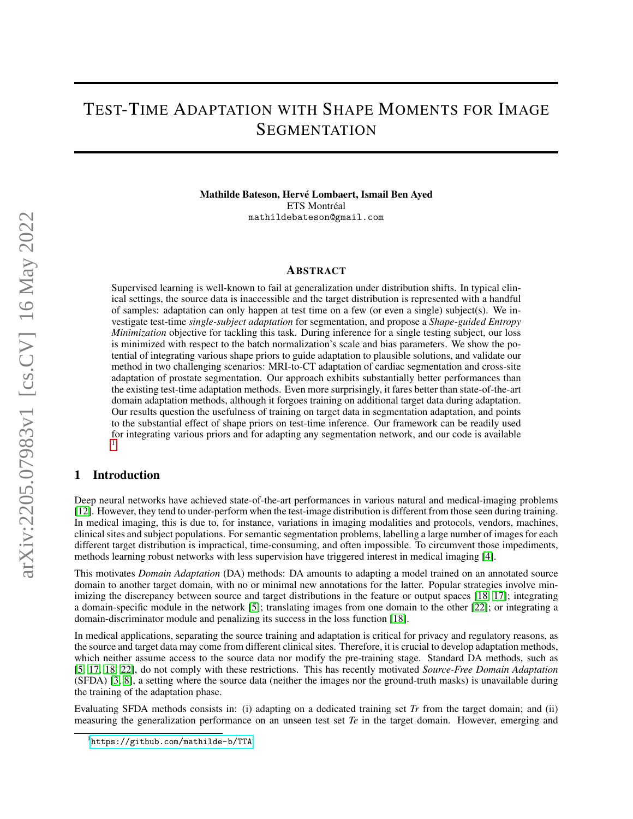# TEST-TIME ADAPTATION WITH SHAPE MOMENTS FOR IMAGE **SEGMENTATION**

Mathilde Bateson, Hervé Lombaert, Ismail Ben Ayed ETS Montréal mathildebateson@gmail.com

#### ABSTRACT

Supervised learning is well-known to fail at generalization under distribution shifts. In typical clinical settings, the source data is inaccessible and the target distribution is represented with a handful of samples: adaptation can only happen at test time on a few (or even a single) subject(s). We investigate test-time *single-subject adaptation* for segmentation, and propose a *Shape-guided Entropy Minimization* objective for tackling this task. During inference for a single testing subject, our loss is minimized with respect to the batch normalization's scale and bias parameters. We show the potential of integrating various shape priors to guide adaptation to plausible solutions, and validate our method in two challenging scenarios: MRI-to-CT adaptation of cardiac segmentation and cross-site adaptation of prostate segmentation. Our approach exhibits substantially better performances than the existing test-time adaptation methods. Even more surprisingly, it fares better than state-of-the-art domain adaptation methods, although it forgoes training on additional target data during adaptation. Our results question the usefulness of training on target data in segmentation adaptation, and points to the substantial effect of shape priors on test-time inference. Our framework can be readily used for integrating various priors and for adapting any segmentation network, and our code is available [1](#page-0-0)

## 1 Introduction

.

Deep neural networks have achieved state-of-the-art performances in various natural and medical-imaging problems [\[12\]](#page-6-0). However, they tend to under-perform when the test-image distribution is different from those seen during training. In medical imaging, this is due to, for instance, variations in imaging modalities and protocols, vendors, machines, clinical sites and subject populations. For semantic segmentation problems, labelling a large number of images for each different target distribution is impractical, time-consuming, and often impossible. To circumvent those impediments, methods learning robust networks with less supervision have triggered interest in medical imaging [\[4\]](#page-5-0).

This motivates *Domain Adaptation* (DA) methods: DA amounts to adapting a model trained on an annotated source domain to another target domain, with no or minimal new annotations for the latter. Popular strategies involve min-imizing the discrepancy between source and target distributions in the feature or output spaces [\[18,](#page-6-1) [17\]](#page-6-2); integrating a domain-specific module in the network [\[5\]](#page-5-1); translating images from one domain to the other [\[22\]](#page-6-3); or integrating a domain-discriminator module and penalizing its success in the loss function [\[18\]](#page-6-1).

In medical applications, separating the source training and adaptation is critical for privacy and regulatory reasons, as the source and target data may come from different clinical sites. Therefore, it is crucial to develop adaptation methods, which neither assume access to the source data nor modify the pre-training stage. Standard DA methods, such as [\[5,](#page-5-1) [17,](#page-6-2) [18,](#page-6-1) [22\]](#page-6-3), do not comply with these restrictions. This has recently motivated *Source-Free Domain Adaptation* (SFDA) [\[3,](#page-5-2) [8\]](#page-5-3), a setting where the source data (neither the images nor the ground-truth masks) is unavailable during the training of the adaptation phase.

Evaluating SFDA methods consists in: (i) adapting on a dedicated training set *Tr* from the target domain; and (ii) measuring the generalization performance on an unseen test set *Te* in the target domain. However, emerging and

<span id="page-0-0"></span><sup>1</sup> <https://github.com/mathilde-b/TTA>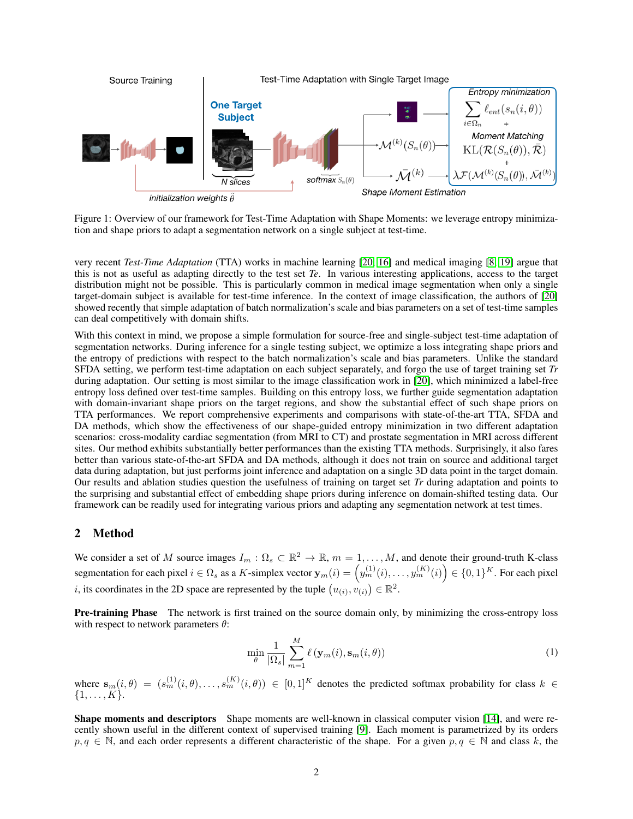

<span id="page-1-0"></span>Figure 1: Overview of our framework for Test-Time Adaptation with Shape Moments: we leverage entropy minimization and shape priors to adapt a segmentation network on a single subject at test-time.

very recent *Test-Time Adaptation* (TTA) works in machine learning [\[20,](#page-6-4) [16\]](#page-6-5) and medical imaging [\[8,](#page-5-3) [19\]](#page-6-6) argue that this is not as useful as adapting directly to the test set *Te*. In various interesting applications, access to the target distribution might not be possible. This is particularly common in medical image segmentation when only a single target-domain subject is available for test-time inference. In the context of image classification, the authors of [\[20\]](#page-6-4) showed recently that simple adaptation of batch normalization's scale and bias parameters on a set of test-time samples can deal competitively with domain shifts.

With this context in mind, we propose a simple formulation for source-free and single-subject test-time adaptation of segmentation networks. During inference for a single testing subject, we optimize a loss integrating shape priors and the entropy of predictions with respect to the batch normalization's scale and bias parameters. Unlike the standard SFDA setting, we perform test-time adaptation on each subject separately, and forgo the use of target training set *Tr* during adaptation. Our setting is most similar to the image classification work in [\[20\]](#page-6-4), which minimized a label-free entropy loss defined over test-time samples. Building on this entropy loss, we further guide segmentation adaptation with domain-invariant shape priors on the target regions, and show the substantial effect of such shape priors on TTA performances. We report comprehensive experiments and comparisons with state-of-the-art TTA, SFDA and DA methods, which show the effectiveness of our shape-guided entropy minimization in two different adaptation scenarios: cross-modality cardiac segmentation (from MRI to CT) and prostate segmentation in MRI across different sites. Our method exhibits substantially better performances than the existing TTA methods. Surprisingly, it also fares better than various state-of-the-art SFDA and DA methods, although it does not train on source and additional target data during adaptation, but just performs joint inference and adaptation on a single 3D data point in the target domain. Our results and ablation studies question the usefulness of training on target set *Tr* during adaptation and points to the surprising and substantial effect of embedding shape priors during inference on domain-shifted testing data. Our framework can be readily used for integrating various priors and adapting any segmentation network at test times.

## 2 Method

We consider a set of M source images  $I_m: \Omega_s \subset \mathbb{R}^2 \to \mathbb{R}$ ,  $m = 1, \ldots, M$ , and denote their ground-truth K-class segmentation for each pixel  $i \in \Omega_s$  as a K-simplex vector  $\mathbf{y}_m(i) = \left(y_m^{(1)}(i), \ldots, y_m^{(K)}(i)\right) \in \{0,1\}^K$ . For each pixel *i*, its coordinates in the 2D space are represented by the tuple  $(u_{(i)}, v_{(i)}) \in \mathbb{R}^2$ .

Pre-training Phase The network is first trained on the source domain only, by minimizing the cross-entropy loss with respect to network parameters  $\theta$ :

<span id="page-1-1"></span>
$$
\min_{\theta} \frac{1}{|\Omega_s|} \sum_{m=1}^{M} \ell(\mathbf{y}_m(i), \mathbf{s}_m(i, \theta))
$$
\n(1)

where  $\mathbf{s}_m(i, \theta) = (s_m^{(1)}(i, \theta), \dots, s_m^{(K)}(i, \theta)) \in [0, 1]^K$  denotes the predicted softmax probability for class  $k \in$  $\{1, \ldots, K\}.$ 

Shape moments and descriptors Shape moments are well-known in classical computer vision [\[14\]](#page-6-7), and were recently shown useful in the different context of supervised training [\[9\]](#page-6-8). Each moment is parametrized by its orders  $p, q \in \mathbb{N}$ , and each order represents a different characteristic of the shape. For a given  $p, q \in \mathbb{N}$  and class k, the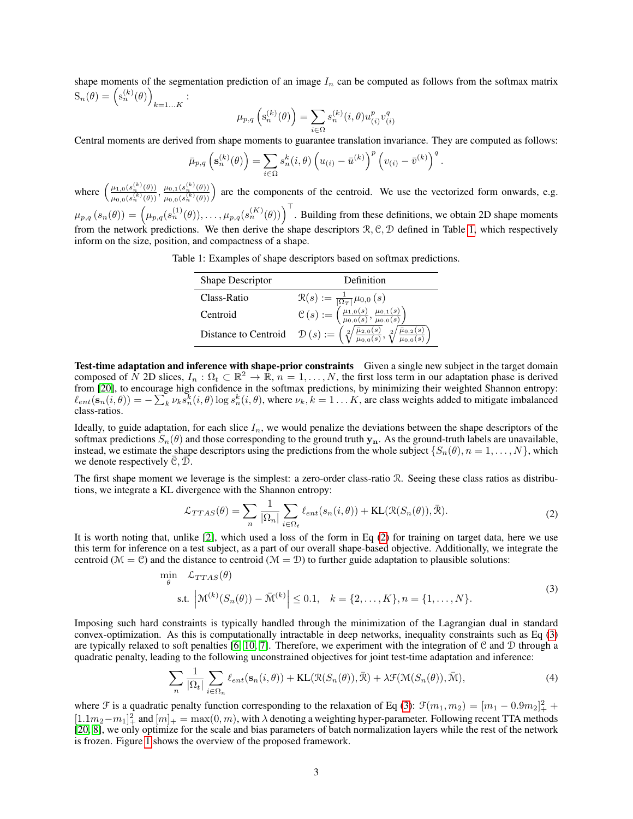shape moments of the segmentation prediction of an image  $I_n$  can be computed as follows from the softmax matrix  $S_n(\theta) = (s_n^{(k)}(\theta))$  $_{k=1...K}$ :

$$
\mu_{p,q}\left(\mathbf{s}_n^{(k)}(\theta)\right)=\sum_{i\in\Omega}s_n^{(k)}(i,\theta)u_{(i)}^pv_{(i)}^q
$$

Central moments are derived from shape moments to guarantee translation invariance. They are computed as follows:

$$
\bar{\mu}_{p,q}\left(\mathbf{s}_n^{(k)}(\theta)\right) = \sum_{i\in\Omega} s_n^k(i,\theta) \left(u_{(i)} - \bar{u}^{(k)}\right)^p \left(v_{(i)} - \bar{v}^{(k)}\right)^q.
$$

where  $\left(\frac{\mu_{1,0}(s_n^{(k)}(\theta))}{(k)}\right)$  $\frac{\mu_{1,0}(s_{n}^{(k)}(\theta))}{\mu_{0,0}(s_{n}^{(k)}(\theta))}, \frac{\mu_{0,1}(s_{n}^{(k)}(\theta))}{\mu_{0,0}(s_{n}^{(k)}(\theta))}$  $\frac{\mu_{0,1}(s_n^{(k)}(\theta))}{\mu_{0,0}(s_n^{(k)}(\theta))}$  are the components of the centroid. We use the vectorized form onwards, e.g.  $\mu_{p,q}(s_n(\theta)) = \left(\mu_{p,q}(s_n^{(1)}(\theta)), \ldots, \mu_{p,q}(s_n^{(K)}(\theta))\right)^\top$ . Building from these definitions, we obtain 2D shape moments from the network predictions. We then derive the shape descriptors  $\mathcal{R}, \mathcal{C}, \mathcal{D}$  defined in Table [1,](#page-2-0) which respectively inform on the size, position, and compactness of a shape.

Table 1: Examples of shape descriptors based on softmax predictions.

<span id="page-2-0"></span>

| Shape Descriptor | Definition                                                                                                                                                              |
|------------------|-------------------------------------------------------------------------------------------------------------------------------------------------------------------------|
| Class-Ratio      |                                                                                                                                                                         |
| Centroid         | $\mathcal{R}(s) := \frac{1}{\vert \Omega_T \vert} \mu_{0,0}(s) \ \mathcal{C}(s) := \left( \frac{\mu_{1,0}(s)}{\mu_{0,0}(s)}, \frac{\mu_{0,1}(s)}{\mu_{0,0}(s)} \right)$ |
|                  | Distance to Centroid $\mathcal{D}(s) := \left(\sqrt[2]{\frac{\bar{\mu}_{2,0}(s)}{\mu_{0,0}(s)}}, \sqrt[2]{\frac{\bar{\mu}_{0,2}(s)}{\mu_{0,0}(s)}}\right)$              |

Test-time adaptation and inference with shape-prior constraints Given a single new subject in the target domain composed of  $\tilde{N}$  2D slices,  $I_n: \Omega_t \subset \mathbb{R}^2 \to \mathbb{R}$ ,  $n = 1, \ldots, N$ , the first loss term in our adaptation phase is derived from [\[20\]](#page-6-4), to encourage high confidence in the softmax predictions, by minimizing their weighted Shannon entropy:  $\ell_{ent}(s_n(i, \theta)) = -\sum_{k} \nu_k s_n^{k}(i, \theta) \log s_n^{k}(i, \theta)$ , where  $\nu_k, k = 1...K$ , are class weights added to mitigate imbalanced class-ratios.

Ideally, to guide adaptation, for each slice  $I_n$ , we would penalize the deviations between the shape descriptors of the softmax predictions  $S_n(\theta)$  and those corresponding to the ground truth  $y_n$ . As the ground-truth labels are unavailable, instead, we estimate the shape descriptors using the predictions from the whole subject  $\{S_n(\theta), n = 1, \ldots, N\}$ , which we denote respectively  $C, D$ .

The first shape moment we leverage is the simplest: a zero-order class-ratio R. Seeing these class ratios as distributions, we integrate a KL divergence with the Shannon entropy:

<span id="page-2-1"></span>
$$
\mathcal{L}_{TTAS}(\theta) = \sum_{n} \frac{1}{|\Omega_n|} \sum_{i \in \Omega_t} \ell_{ent}(s_n(i, \theta)) + \text{KL}(\mathcal{R}(S_n(\theta)), \bar{\mathcal{R}}).
$$
 (2)

It is worth noting that, unlike [\[2\]](#page-5-4), which used a loss of the form in Eq [\(2\)](#page-2-1) for training on target data, here we use this term for inference on a test subject, as a part of our overall shape-based objective. Additionally, we integrate the centroid ( $\mathcal{M} = \mathcal{C}$ ) and the distance to centroid ( $\mathcal{M} = \mathcal{D}$ ) to further guide adaptation to plausible solutions:

<span id="page-2-2"></span>
$$
\min_{\theta} \mathcal{L}_{TTAS}(\theta)
$$
\n
$$
\text{s.t. } \left| \mathcal{M}^{(k)}(S_n(\theta)) - \bar{\mathcal{M}}^{(k)} \right| \le 0.1, \quad k = \{2, \dots, K\}, n = \{1, \dots, N\}. \tag{3}
$$

Imposing such hard constraints is typically handled through the minimization of the Lagrangian dual in standard convex-optimization. As this is computationally intractable in deep networks, inequality constraints such as Eq [\(3\)](#page-2-2) are typically relaxed to soft penalties [\[6,](#page-5-5) [10,](#page-6-9) [7\]](#page-5-6). Therefore, we experiment with the integration of  $\mathcal C$  and  $\mathcal D$  through a quadratic penalty, leading to the following unconstrained objectives for joint test-time adaptation and inference:

<span id="page-2-3"></span>
$$
\sum_{n} \frac{1}{|\Omega_t|} \sum_{i \in \Omega_n} \ell_{ent}(\mathbf{s}_n(i, \theta)) + \text{KL}(\mathcal{R}(S_n(\theta)), \bar{\mathcal{R}}) + \lambda \mathcal{F}(\mathcal{M}(S_n(\theta)), \bar{\mathcal{M}}),
$$
\n(4)

where  $\mathcal F$  is a quadratic penalty function corresponding to the relaxation of Eq [\(3\)](#page-2-2):  $\mathcal F(m_1, m_2) = [m_1 - 0.9m_2]_+^2 +$  $[1.1m_2-m_1]_+^2$  and  $[m]_+ = \max(0, m)$ , with  $\lambda$  denoting a weighting hyper-parameter. Following recent TTA methods [\[20,](#page-6-4) [8\]](#page-5-3), we only optimize for the scale and bias parameters of batch normalization layers while the rest of the network is frozen. Figure [1](#page-1-0) shows the overview of the proposed framework.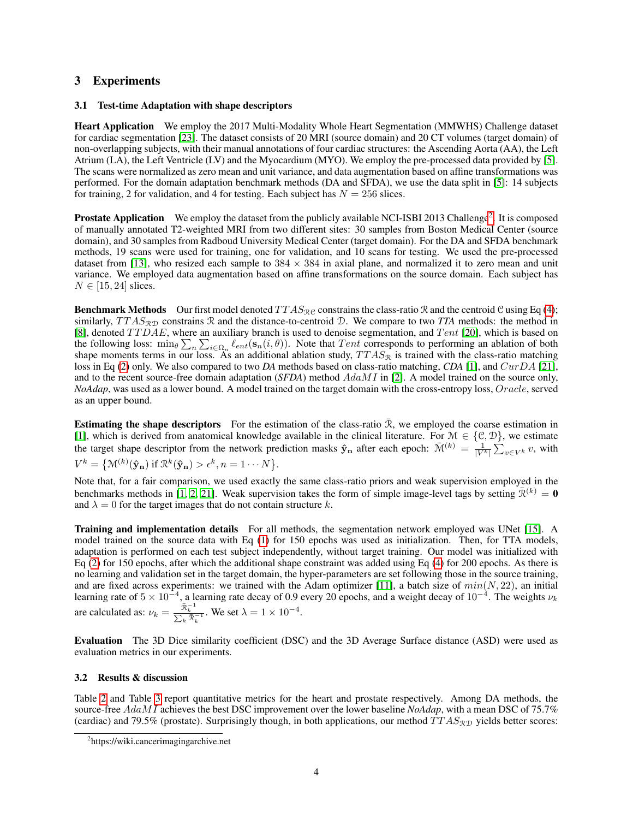# 3 Experiments

## 3.1 Test-time Adaptation with shape descriptors

Heart Application We employ the 2017 Multi-Modality Whole Heart Segmentation (MMWHS) Challenge dataset for cardiac segmentation [\[23\]](#page-6-10). The dataset consists of 20 MRI (source domain) and 20 CT volumes (target domain) of non-overlapping subjects, with their manual annotations of four cardiac structures: the Ascending Aorta (AA), the Left Atrium (LA), the Left Ventricle (LV) and the Myocardium (MYO). We employ the pre-processed data provided by [\[5\]](#page-5-1). The scans were normalized as zero mean and unit variance, and data augmentation based on affine transformations was performed. For the domain adaptation benchmark methods (DA and SFDA), we use the data split in [\[5\]](#page-5-1): 14 subjects for training, 2 for validation, and 4 for testing. Each subject has  $N = 256$  slices.

Prostate Application We employ the dataset from the publicly available NCI-ISBI [2](#page-3-0)013 Challenge<sup>2</sup>. It is composed of manually annotated T2-weighted MRI from two different sites: 30 samples from Boston Medical Center (source domain), and 30 samples from Radboud University Medical Center (target domain). For the DA and SFDA benchmark methods, 19 scans were used for training, one for validation, and 10 scans for testing. We used the pre-processed dataset from [\[13\]](#page-6-11), who resized each sample to  $384 \times 384$  in axial plane, and normalized it to zero mean and unit variance. We employed data augmentation based on affine transformations on the source domain. Each subject has  $N \in [15, 24]$  slices.

**Benchmark Methods** Our first model denoted  $TTAS_{\mathcal{R}C}$  constrains the class-ratio R and the centroid C using Eq [\(4\)](#page-2-3); similarly,  $TTAS_{\mathcal{RD}}$  constrains R and the distance-to-centroid D. We compare to two *TTA* methods: the method in [\[8\]](#page-5-3), denoted  $TTDAE$ , where an auxiliary branch is used to denoise segmentation, and  $Tent$  [\[20\]](#page-6-4), which is based on the following loss:  $\min_{\theta} \sum_{n} \sum_{i \in \Omega_n} \ell_{ent}(s_n(i, \theta))$ . Note that  $Tent$  corresponds to performing an ablation of both shape moments terms in our loss. As an additional ablation study,  $TTAS_{\mathcal{R}}$  is trained with the class-ratio matching loss in Eq [\(2\)](#page-2-1) only. We also compared to two *DA* methods based on class-ratio matching, *CDA* [\[1\]](#page-5-7), and CurDA [\[21\]](#page-6-12), and to the recent source-free domain adaptation (*SFDA*) method AdaMI in [\[2\]](#page-5-4). A model trained on the source only, *NoAdap*, was used as a lower bound. A model trained on the target domain with the cross-entropy loss, Oracle, served as an upper bound.

**Estimating the shape descriptors** For the estimation of the class-ratio  $\bar{\mathcal{R}}$ , we employed the coarse estimation in [\[1\]](#page-5-7), which is derived from anatomical knowledge available in the clinical literature. For  $\mathcal{M} \in \{\mathcal{C}, \mathcal{D}\}\$ , we estimate the target shape descriptor from the network prediction masks  $\hat{\mathbf{y}}_n$  after each epoch:  $\overline{\mathcal{M}}^{(k)} = \frac{1}{|V^k|} \sum_{v \in V^k} v$ , with  $V^k = \{ \mathfrak{M}^{(k)}(\mathbf{\hat{y}_n}) \text{ if } \mathfrak{R}^k(\mathbf{\hat{y}_n}) > \epsilon^k, n = 1 \cdots N \}.$ 

Note that, for a fair comparison, we used exactly the same class-ratio priors and weak supervision employed in the benchmarks methods in [\[1,](#page-5-7) [2,](#page-5-4) [21\]](#page-6-12). Weak supervision takes the form of simple image-level tags by setting  $\bar{\mathcal{R}}^{(k)} = \mathbf{0}$ and  $\lambda = 0$  for the target images that do not contain structure k.

Training and implementation details For all methods, the segmentation network employed was UNet [\[15\]](#page-6-13). A model trained on the source data with Eq [\(1\)](#page-1-1) for 150 epochs was used as initialization. Then, for TTA models, adaptation is performed on each test subject independently, without target training. Our model was initialized with Eq [\(2\)](#page-2-1) for 150 epochs, after which the additional shape constraint was added using Eq [\(4\)](#page-2-3) for 200 epochs. As there is no learning and validation set in the target domain, the hyper-parameters are set following those in the source training, and are fixed across experiments: we trained with the Adam optimizer [\[11\]](#page-6-14), a batch size of  $min(N, 22)$ , an initial learning rate of  $5 \times 10^{-4}$ , a learning rate decay of 0.9 every 20 epochs, and a weight decay of  $10^{-4}$ . The weights  $\nu_k$ are calculated as:  $\nu_k = \frac{\bar{\mathcal{R}}_k^{-1}}{\sum_k \bar{\mathcal{R}}_k^{-1}}$ . We set  $\lambda = 1 \times 10^{-4}$ .

Evaluation The 3D Dice similarity coefficient (DSC) and the 3D Average Surface distance (ASD) were used as evaluation metrics in our experiments.

## 3.2 Results & discussion

Table [2](#page-4-0) and Table [3](#page-4-1) report quantitative metrics for the heart and prostate respectively. Among DA methods, the source-free AdaMI achieves the best DSC improvement over the lower baseline *NoAdap*, with a mean DSC of 75.7% (cardiac) and 79.5% (prostate). Surprisingly though, in both applications, our method  $TTAS_{RD}$  yields better scores:

<span id="page-3-0"></span><sup>2</sup> https://wiki.cancerimagingarchive.net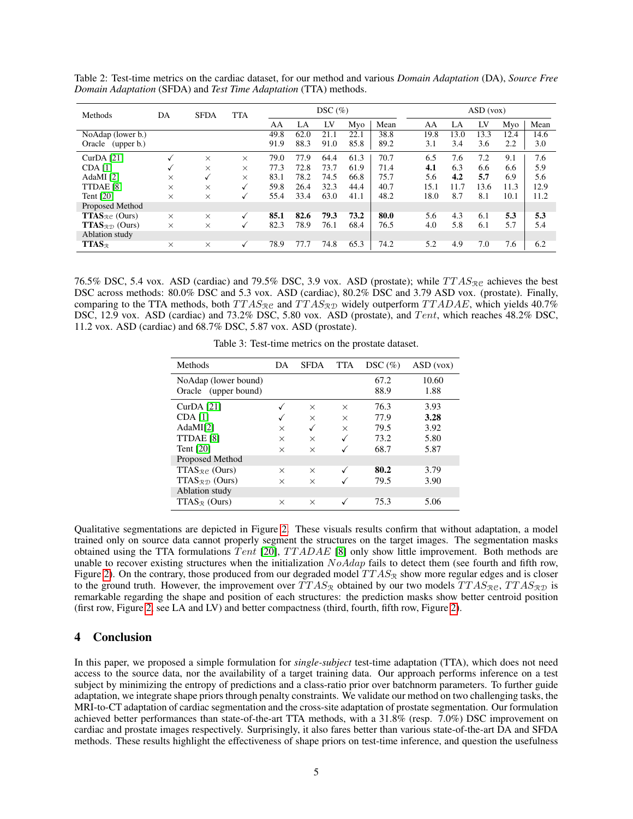| Methods                                                                        | <b>SFDA</b><br>DA | <b>TTA</b> |          | $DSC(\%)$ |      |      |      | ASD(vox) |      |      |      |      |      |
|--------------------------------------------------------------------------------|-------------------|------------|----------|-----------|------|------|------|----------|------|------|------|------|------|
|                                                                                |                   |            |          | AA        | LA   | LV   | Mvo  | Mean     | AA   | LA   | LV   | Mvo  | Mean |
| NoAdap (lower b.)                                                              |                   |            |          | 49.8      | 62.0 | 21.1 | 22.1 | 38.8     | 19.8 | 13.0 | 13.3 | 12.4 | 14.6 |
| Oracle (upper b.)                                                              |                   |            |          | 91.9      | 88.3 | 91.0 | 85.8 | 89.2     | 3.1  | 3.4  | 3.6  | 2.2  | 3.0  |
| CurDA $[21]$                                                                   |                   | $\times$   | X        | 79.0      | 77.9 | 64.4 | 61.3 | 70.7     | 6.5  | 7.6  | 7.2  | 9.1  | 7.6  |
| CDA[1]                                                                         | ✓                 | $\times$   | $\times$ | 77.3      | 72.8 | 73.7 | 61.9 | 71.4     | 4.1  | 6.3  | 6.6  | 6.6  | 5.9  |
| AdaMI $[2]$                                                                    | X                 | √          | X        | 83.1      | 78.2 | 74.5 | 66.8 | 75.7     | 5.6  | 4.2  | 5.7  | 6.9  | 5.6  |
| TTDAE [8]                                                                      | X                 | $\times$   | √        | 59.8      | 26.4 | 32.3 | 44.4 | 40.7     | 15.1 | 11.7 | 13.6 | 11.3 | 12.9 |
| Tent [20]                                                                      | X                 | $\times$   | V        | 55.4      | 33.4 | 63.0 | 41.1 | 48.2     | 18.0 | 8.7  | 8.1  | 10.1 | 11.2 |
| Proposed Method                                                                |                   |            |          |           |      |      |      |          |      |      |      |      |      |
| <b>TTAS</b> <sub>Re</sub> (Ours)                                               | $\times$          | $\times$   | √        | 85.1      | 82.6 | 79.3 | 73.2 | 80.0     | 5.6  | 4.3  | 6.1  | 5.3  | 5.3  |
| <b>TTAS</b> <sub><math>\mathcal{R}</math><math>\mathcal{D}</math> (Ours)</sub> | X                 | $\times$   | ✓        | 82.3      | 78.9 | 76.1 | 68.4 | 76.5     | 4.0  | 5.8  | 6.1  | 5.7  | 5.4  |
| Ablation study                                                                 |                   |            |          |           |      |      |      |          |      |      |      |      |      |
| $TTAS_{R}$                                                                     | $\times$          | $\times$   | √        | 78.9      | 77.7 | 74.8 | 65.3 | 74.2     | 5.2  | 4.9  | 7.0  | 7.6  | 6.2  |

<span id="page-4-0"></span>Table 2: Test-time metrics on the cardiac dataset, for our method and various *Domain Adaptation* (DA), *Source Free Domain Adaptation* (SFDA) and *Test Time Adaptation* (TTA) methods.

76.5% DSC, 5.4 vox. ASD (cardiac) and 79.5% DSC, 3.9 vox. ASD (prostate); while  $TTAS_{\text{R}}c$  achieves the best DSC across methods: 80.0% DSC and 5.3 vox. ASD (cardiac), 80.2% DSC and 3.79 ASD vox. (prostate). Finally, comparing to the TTA methods, both  $TTAS_{\mathcal{R}\mathcal{C}}$  and  $TTAS_{\mathcal{R}\mathcal{D}}$  widely outperform  $TTADAE$ , which yields 40.7% DSC, 12.9 vox. ASD (cardiac) and 73.2% DSC, 5.80 vox. ASD (prostate), and Tent, which reaches 48.2% DSC, 11.2 vox. ASD (cardiac) and 68.7% DSC, 5.87 vox. ASD (prostate).

| Methods                                      | DA       | <b>SFDA</b> | <b>TTA</b> | $DSC \left( % \right)$ | ASD(vox)      |
|----------------------------------------------|----------|-------------|------------|------------------------|---------------|
| NoAdap (lower bound)<br>Oracle (upper bound) |          |             |            | 67.2<br>88.9           | 10.60<br>1.88 |
| $CurDA$ [21]                                 |          | $\times$    | $\times$   | 76.3                   | 3.93          |
| <b>CDA</b> [1]                               |          | $\times$    | $\times$   | 77.9                   | 3.28          |
| AdaMI $[2]$                                  | X        | ✓           | $\times$   | 79.5                   | 3.92          |
| TTDAE [8]                                    | X        | $\times$    |            | 73.2                   | 5.80          |
| Tent $[20]$                                  | X        | $\times$    |            | 68.7                   | 5.87          |
| Proposed Method                              |          |             |            |                        |               |
| $TTAS_{\mathcal{R}}$ (Ours)                  | $\times$ | $\times$    |            | 80.2                   | 3.79          |
| $TTAS_{\mathcal{R}}$ (Ours)                  | X        | $\times$    |            | 79.5                   | 3.90          |
| Ablation study                               |          |             |            |                        |               |
| $TTAS_{\mathcal{R}}$ (Ours)                  | $\times$ | $\times$    |            | 75.3                   | 5.06          |

<span id="page-4-1"></span>Table 3: Test-time metrics on the prostate dataset.

Qualitative segmentations are depicted in Figure [2.](#page-5-8) These visuals results confirm that without adaptation, a model trained only on source data cannot properly segment the structures on the target images. The segmentation masks obtained using the TTA formulations  $Tent$  [\[20\]](#page-6-4),  $TTADAE$  [\[8\]](#page-5-3) only show little improvement. Both methods are unable to recover existing structures when the initialization  $NoAdap$  fails to detect them (see fourth and fifth row, Figure [2\)](#page-5-8). On the contrary, those produced from our degraded model  $TTAS_{\mathcal{R}}$  show more regular edges and is closer to the ground truth. However, the improvement over  $TTAS_{\mathcal{R}}$  obtained by our two models  $TTAS_{\mathcal{R}}$ ,  $TTAS_{\mathcal{RD}}$  is remarkable regarding the shape and position of each structures: the prediction masks show better centroid position (first row, Figure [2,](#page-5-8) see LA and LV) and better compactness (third, fourth, fifth row, Figure [2\)](#page-5-8).

# 4 Conclusion

In this paper, we proposed a simple formulation for *single-subject* test-time adaptation (TTA), which does not need access to the source data, nor the availability of a target training data. Our approach performs inference on a test subject by minimizing the entropy of predictions and a class-ratio prior over batchnorm parameters. To further guide adaptation, we integrate shape priors through penalty constraints. We validate our method on two challenging tasks, the MRI-to-CT adaptation of cardiac segmentation and the cross-site adaptation of prostate segmentation. Our formulation achieved better performances than state-of-the-art TTA methods, with a 31.8% (resp. 7.0%) DSC improvement on cardiac and prostate images respectively. Surprisingly, it also fares better than various state-of-the-art DA and SFDA methods. These results highlight the effectiveness of shape priors on test-time inference, and question the usefulness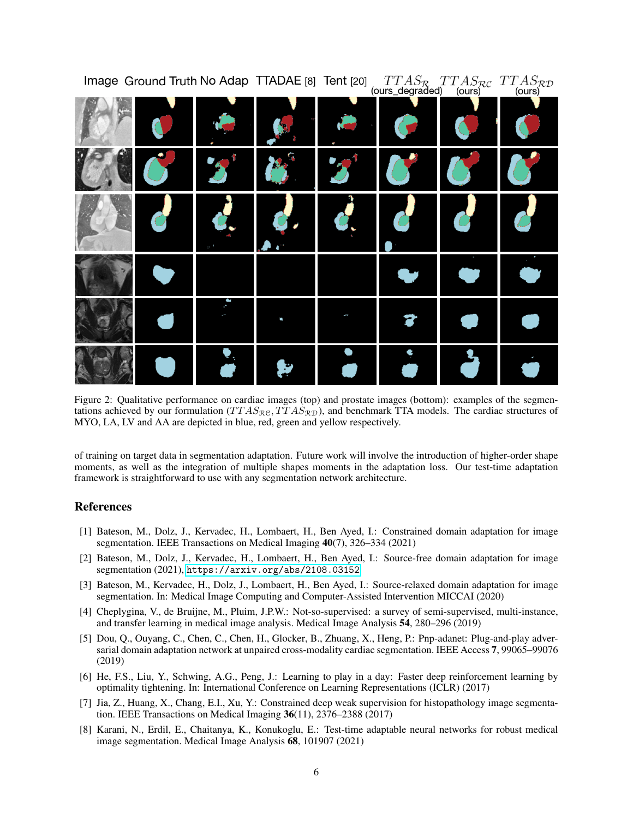|   |  | (ours_degraded) (ours) | $\frac{1}{2}$ (ours) |
|---|--|------------------------|----------------------|
|   |  |                        |                      |
| ۰ |  |                        |                      |
|   |  |                        |                      |
|   |  |                        |                      |
|   |  |                        |                      |
|   |  |                        |                      |

Image Ground Truth No Adap TTADAE [8] Tent [20]  $TTAS_{\mathcal{P}}TTAS_{\mathcal{P}C}TTAS_{\mathcal{P}D}$ 

<span id="page-5-8"></span>Figure 2: Qualitative performance on cardiac images (top) and prostate images (bottom): examples of the segmentations achieved by our formulation  $(TTAS_{\mathcal{R}\mathcal{D}}, TTAS_{\mathcal{R}\mathcal{D}})$ , and benchmark TTA models. The cardiac structures of MYO, LA, LV and AA are depicted in blue, red, green and yellow respectively.

of training on target data in segmentation adaptation. Future work will involve the introduction of higher-order shape moments, as well as the integration of multiple shapes moments in the adaptation loss. Our test-time adaptation framework is straightforward to use with any segmentation network architecture.

## References

- <span id="page-5-7"></span>[1] Bateson, M., Dolz, J., Kervadec, H., Lombaert, H., Ben Ayed, I.: Constrained domain adaptation for image segmentation. IEEE Transactions on Medical Imaging 40(7), 326–334 (2021)
- <span id="page-5-4"></span>[2] Bateson, M., Dolz, J., Kervadec, H., Lombaert, H., Ben Ayed, I.: Source-free domain adaptation for image segmentation (2021), <https://arxiv.org/abs/2108.03152>
- <span id="page-5-2"></span>[3] Bateson, M., Kervadec, H., Dolz, J., Lombaert, H., Ben Ayed, I.: Source-relaxed domain adaptation for image segmentation. In: Medical Image Computing and Computer-Assisted Intervention MICCAI (2020)
- <span id="page-5-0"></span>[4] Cheplygina, V., de Bruijne, M., Pluim, J.P.W.: Not-so-supervised: a survey of semi-supervised, multi-instance, and transfer learning in medical image analysis. Medical Image Analysis 54, 280–296 (2019)
- <span id="page-5-1"></span>[5] Dou, Q., Ouyang, C., Chen, C., Chen, H., Glocker, B., Zhuang, X., Heng, P.: Pnp-adanet: Plug-and-play adversarial domain adaptation network at unpaired cross-modality cardiac segmentation. IEEE Access 7, 99065–99076 (2019)
- <span id="page-5-5"></span>[6] He, F.S., Liu, Y., Schwing, A.G., Peng, J.: Learning to play in a day: Faster deep reinforcement learning by optimality tightening. In: International Conference on Learning Representations (ICLR) (2017)
- <span id="page-5-6"></span>[7] Jia, Z., Huang, X., Chang, E.I., Xu, Y.: Constrained deep weak supervision for histopathology image segmentation. IEEE Transactions on Medical Imaging 36(11), 2376–2388 (2017)
- <span id="page-5-3"></span>[8] Karani, N., Erdil, E., Chaitanya, K., Konukoglu, E.: Test-time adaptable neural networks for robust medical image segmentation. Medical Image Analysis 68, 101907 (2021)